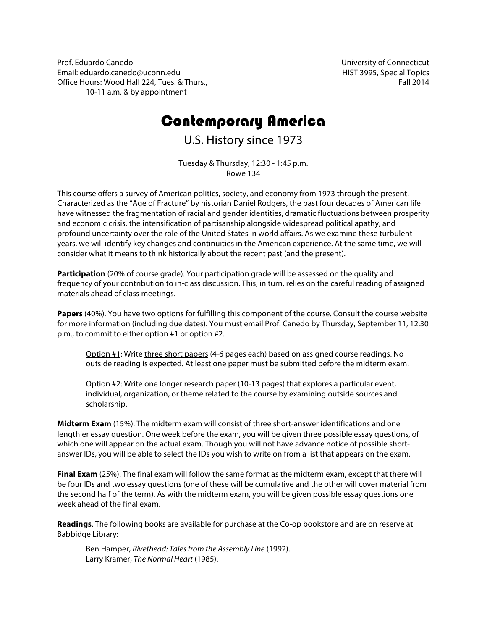Prof. Eduardo Canedo Email: eduardo.canedo@uconn.edu Office Hours: Wood Hall 224, Tues. & Thurs., 10-11 a.m. & by appointment

University of Connecticut HIST 3995, Special Topics Fall 2014

# Contemporary America

U.S. History since 1973

Tuesday & Thursday, 12:30 - 1:45 p.m. Rowe 134

This course offers a survey of American politics, society, and economy from 1973 through the present. Characterized as the "Age of Fracture" by historian Daniel Rodgers, the past four decades of American life have witnessed the fragmentation of racial and gender identities, dramatic fluctuations between prosperity and economic crisis, the intensification of partisanship alongside widespread political apathy, and profound uncertainty over the role of the United States in world affairs. As we examine these turbulent years, we will identify key changes and continuities in the American experience. At the same time, we will consider what it means to think historically about the recent past (and the present).

Participation (20% of course grade). Your participation grade will be assessed on the quality and frequency of your contribution to in-class discussion. This, in turn, relies on the careful reading of assigned materials ahead of class meetings.

**Papers** (40%). You have two options for fulfilling this component of the course. Consult the course website for more information (including due dates). You must email Prof. Canedo by Thursday, September 11, 12:30 p.m., to commit to either option #1 or option #2.

Option #1: Write three short papers (4-6 pages each) based on assigned course readings. No outside reading is expected. At least one paper must be submitted before the midterm exam.

Option #2: Write one longer research paper (10-13 pages) that explores a particular event, individual, organization, or theme related to the course by examining outside sources and scholarship.

**Midterm Exam** (15%). The midterm exam will consist of three short-answer identifications and one lengthier essay question. One week before the exam, you will be given three possible essay questions, of which one will appear on the actual exam. Though you will not have advance notice of possible shortanswer IDs, you will be able to select the IDs you wish to write on from a list that appears on the exam.

**Final Exam** (25%). The final exam will follow the same format as the midterm exam, except that there will be four IDs and two essay questions (one of these will be cumulative and the other will cover material from the second half of the term). As with the midterm exam, you will be given possible essay questions one week ahead of the final exam.

**Readings**. The following books are available for purchase at the Co-op bookstore and are on reserve at Babbidge Library:

Ben Hamper, *Rivethead: Tales from the Assembly Line* (1992). Larry Kramer, *The Normal Heart* (1985).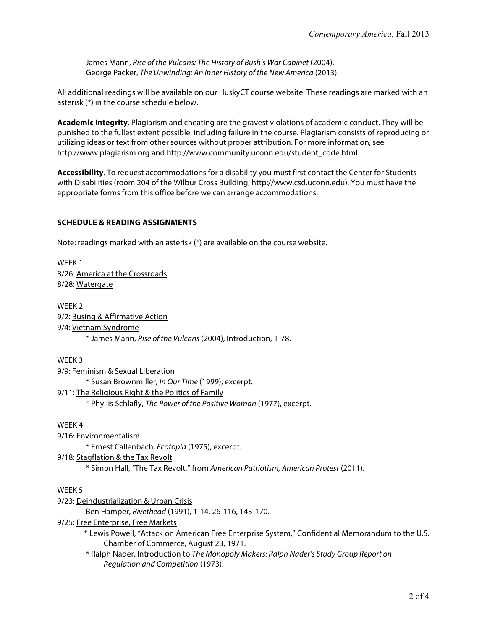James Mann, *Rise of the Vulcans: The History of Bush's War Cabinet* (2004). George Packer, *The Unwinding: An Inner History of the New America* (2013).

All additional readings will be available on our HuskyCT course website. These readings are marked with an asterisk (\*) in the course schedule below.

**Academic Integrity**. Plagiarism and cheating are the gravest violations of academic conduct. They will be punished to the fullest extent possible, including failure in the course. Plagiarism consists of reproducing or utilizing ideas or text from other sources without proper attribution. For more information, see http://www.plagiarism.org and http://www.community.uconn.edu/student\_code.html.

**Accessibility**. To request accommodations for a disability you must first contact the Center for Students with Disabilities (room 204 of the Wilbur Cross Building; http://www.csd.uconn.edu). You must have the appropriate forms from this office before we can arrange accommodations.

# **SCHEDULE & READING ASSIGNMENTS**

Note: readings marked with an asterisk (\*) are available on the course website.

WEEK 1 8/26: America at the Crossroads 8/28: Watergate

WEEK 2 9/2: Busing & Affirmative Action 9/4: Vietnam Syndrome \* James Mann, *Rise of the Vulcans* (2004), Introduction, 1-78.

WEEK 3 9/9: Feminism & Sexual Liberation \* Susan Brownmiller, *In Our Time* (1999), excerpt. 9/11: The Religious Right & the Politics of Family \* Phyllis Schlafly, *The Power of the Positive Woman* (1977), excerpt.

#### WEEK 4

9/16: Environmentalism

\* Ernest Callenbach, *Ecotopia* (1975), excerpt.

9/18: Stagflation & the Tax Revolt

\* Simon Hall, "The Tax Revolt," from *American Patriotism, American Protest* (2011).

# WEEK 5

9/23: Deindustrialization & Urban Crisis

Ben Hamper, *Rivethead* (1991), 1-14, 26-116, 143-170.

9/25: Free Enterprise, Free Markets

- \* Lewis Powell, "Attack on American Free Enterprise System," Confidential Memorandum to the U.S. Chamber of Commerce, August 23, 1971.
- \* Ralph Nader, Introduction to *The Monopoly Makers: Ralph Nader's Study Group Report on Regulation and Competition* (1973).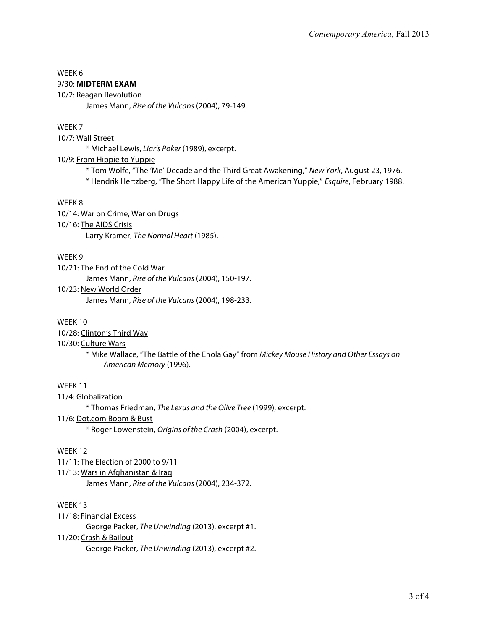# WEEK 6

# 9/30: **MIDTERM EXAM**

10/2: Reagan Revolution James Mann, *Rise of the Vulcans* (2004), 79-149.

# WEEK 7

10/7: Wall Street

\* Michael Lewis, *Liar's Poker* (1989), excerpt.

# 10/9: From Hippie to Yuppie

\* Tom Wolfe, "The 'Me' Decade and the Third Great Awakening," *New York*, August 23, 1976.

\* Hendrik Hertzberg, "The Short Happy Life of the American Yuppie," *Esquire*, February 1988.

# WEEK 8

10/14: War on Crime, War on Drugs 10/16: The AIDS Crisis Larry Kramer, *The Normal Heart* (1985).

# WEEK 9

10/21: The End of the Cold War

James Mann, *Rise of the Vulcans* (2004), 150-197.

#### 10/23: New World Order

James Mann, *Rise of the Vulcans* (2004), 198-233.

# WFFK<sub>10</sub>

10/28: Clinton's Third Way

# 10/30: Culture Wars

\* Mike Wallace, "The Battle of the Enola Gay" from *Mickey Mouse History and Other Essays on American Memory* (1996).

# WEEK 11

11/4: Globalization

\* Thomas Friedman, *The Lexus and the Olive Tree* (1999), excerpt.

# 11/6: Dot.com Boom & Bust

\* Roger Lowenstein, *Origins of the Crash* (2004), excerpt.

# WEEK 12

11/11: The Election of 2000 to 9/11

# 11/13: Wars in Afghanistan & Iraq

James Mann, *Rise of the Vulcans* (2004), 234-372.

# WEEK 13

11/18: Financial Excess

George Packer, *The Unwinding* (2013), excerpt #1.

# 11/20: Crash & Bailout

George Packer, *The Unwinding* (2013), excerpt #2.